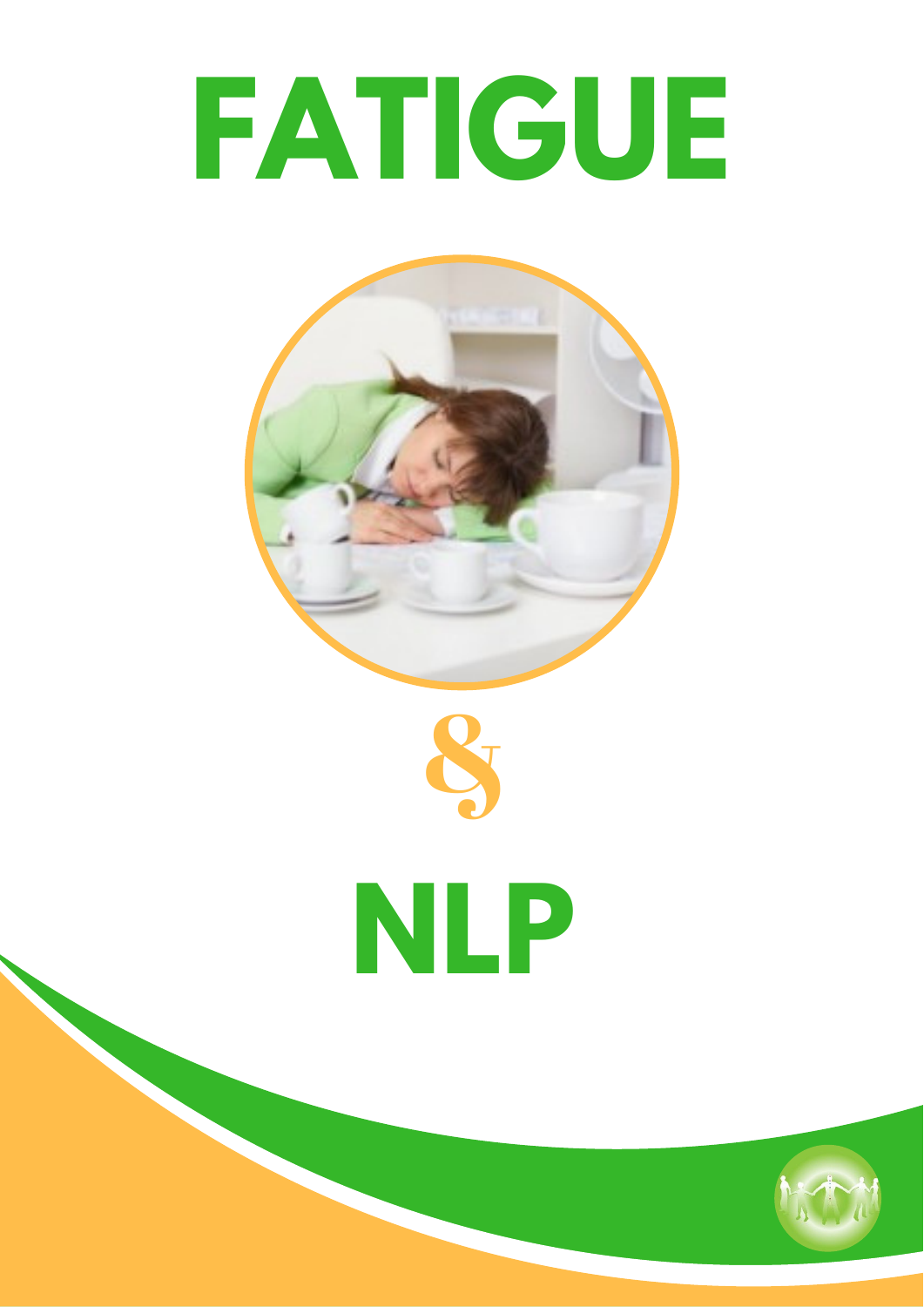# **FATIGUE**





## **NLP**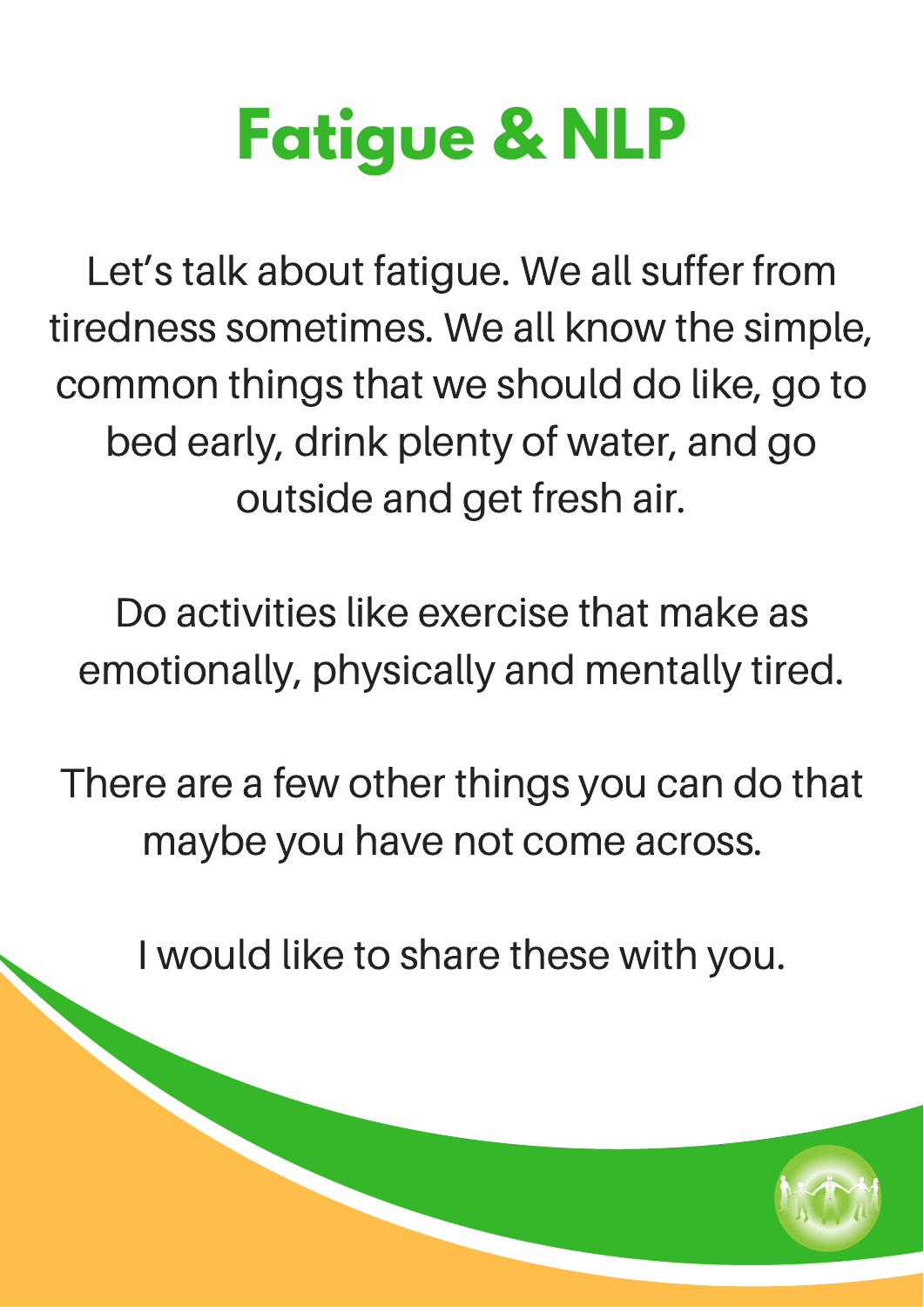## **Fatigue & NLP**

Let's talk about fatigue. We all suffer from tiredness sometimes. We all know the simple, common things that we should do like, go to bed early, drink plenty of water, and go outside and get fresh air.

Do activities like exercise that make as emotionally, physically and mentally tired.

There are a few other things you can do that maybe you have not come across.

I would like to share these with you.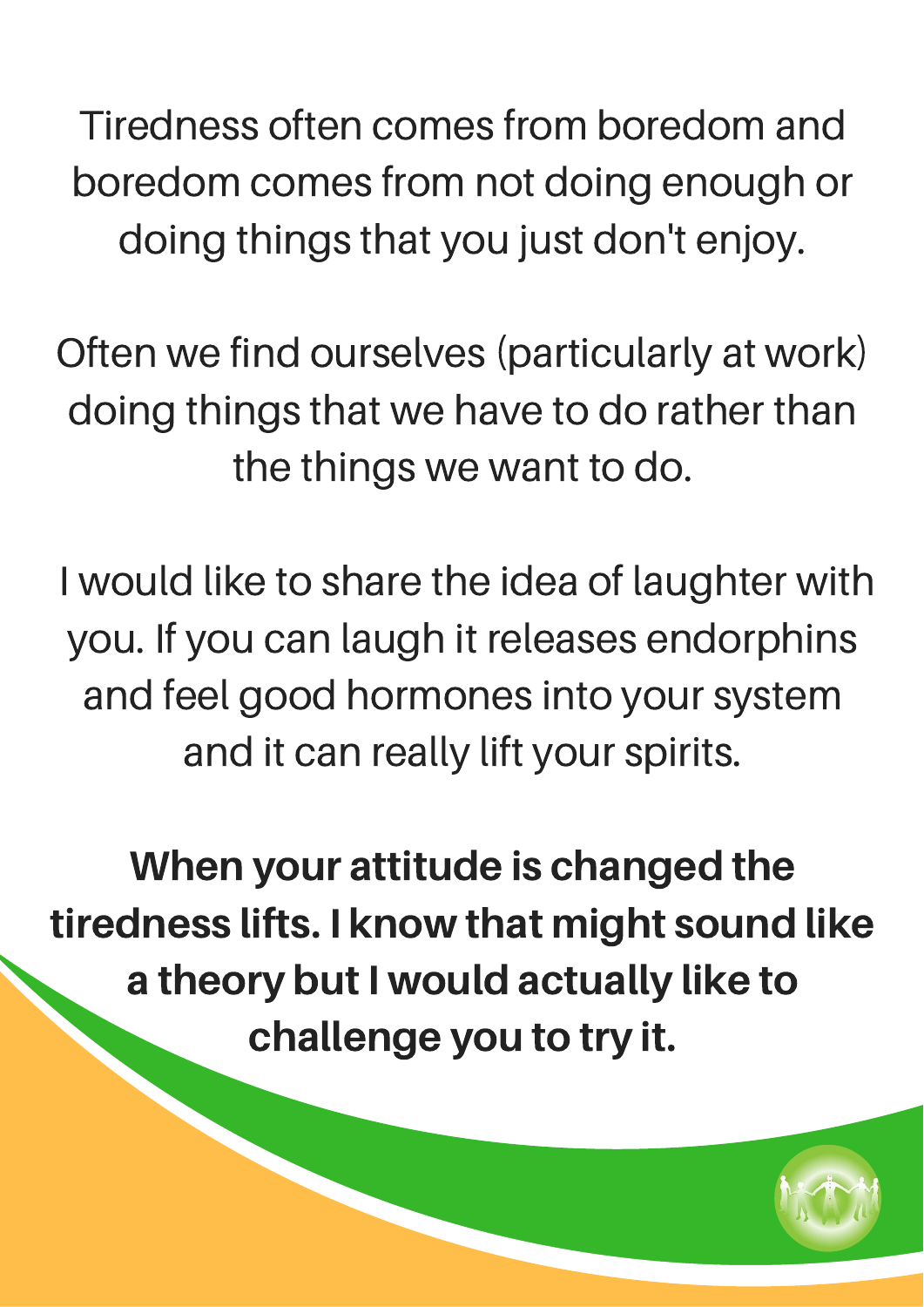Tiredness often comes from boredom and boredom comes from not doing enough or doing things that you just don't enjoy.

Often we find ourselves (particularly at work) doing things that we have to do rather than the things we want to do.

I would like to share the idea of laughter with you. If you can laugh it releases endorphins and feel good hormones into your system and it can really lift your spirits.

When your attitude is changed the tiredness lifts. I know that might sound like a theory but I would actually like to challenge you to try it.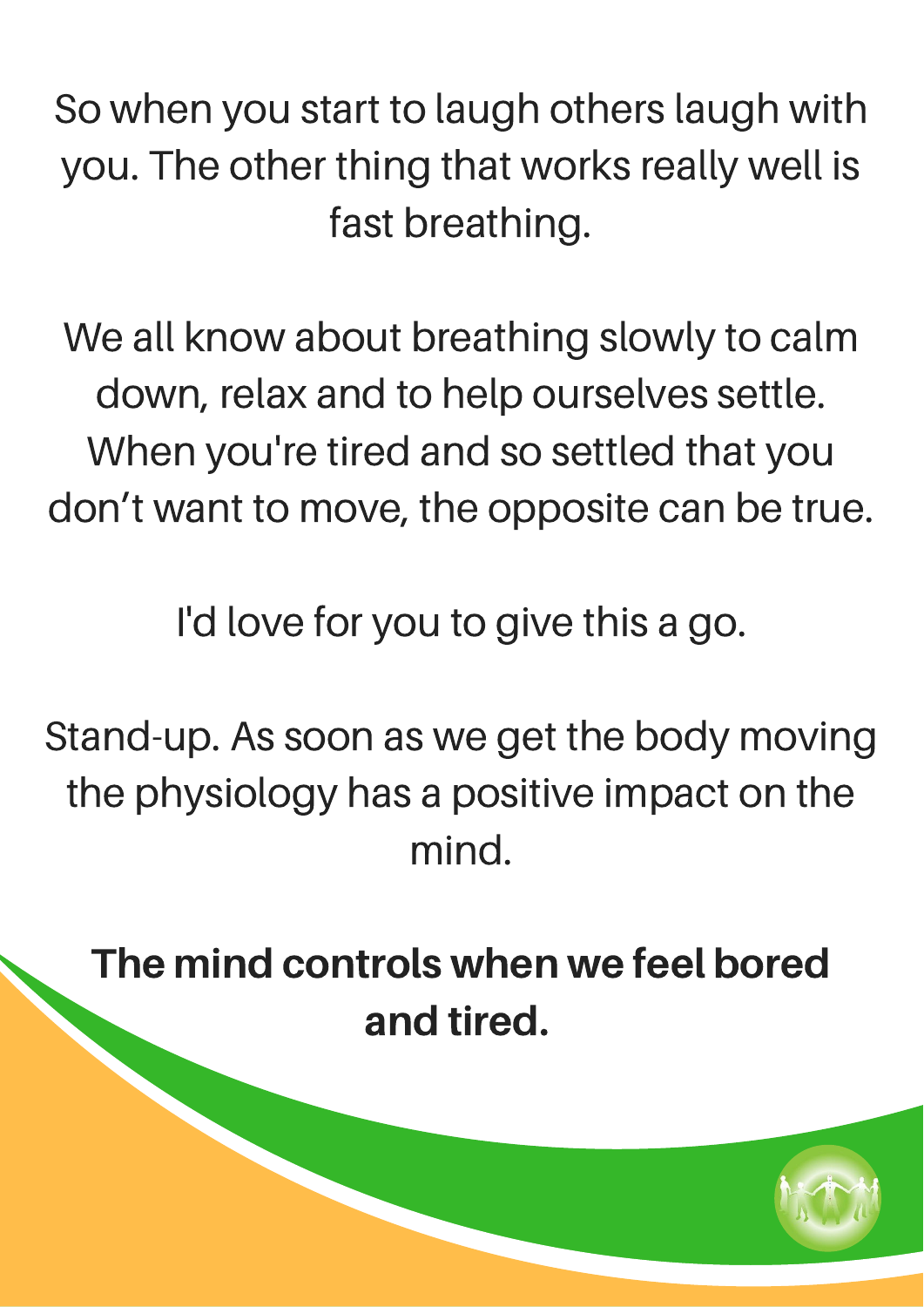So when you start to laugh others laugh with you. The other thing that works really well is fast breathing.

We all know about breathing slowly to calm down, relax and to help ourselves settle. When you're tired and so settled that you don't want to move, the opposite can be true.

I'd love for you to give this a go.

Stand-up. As soon as we get the body moving the physiology has a positive impact on the mind.

The mind controls when we feel bored and tired.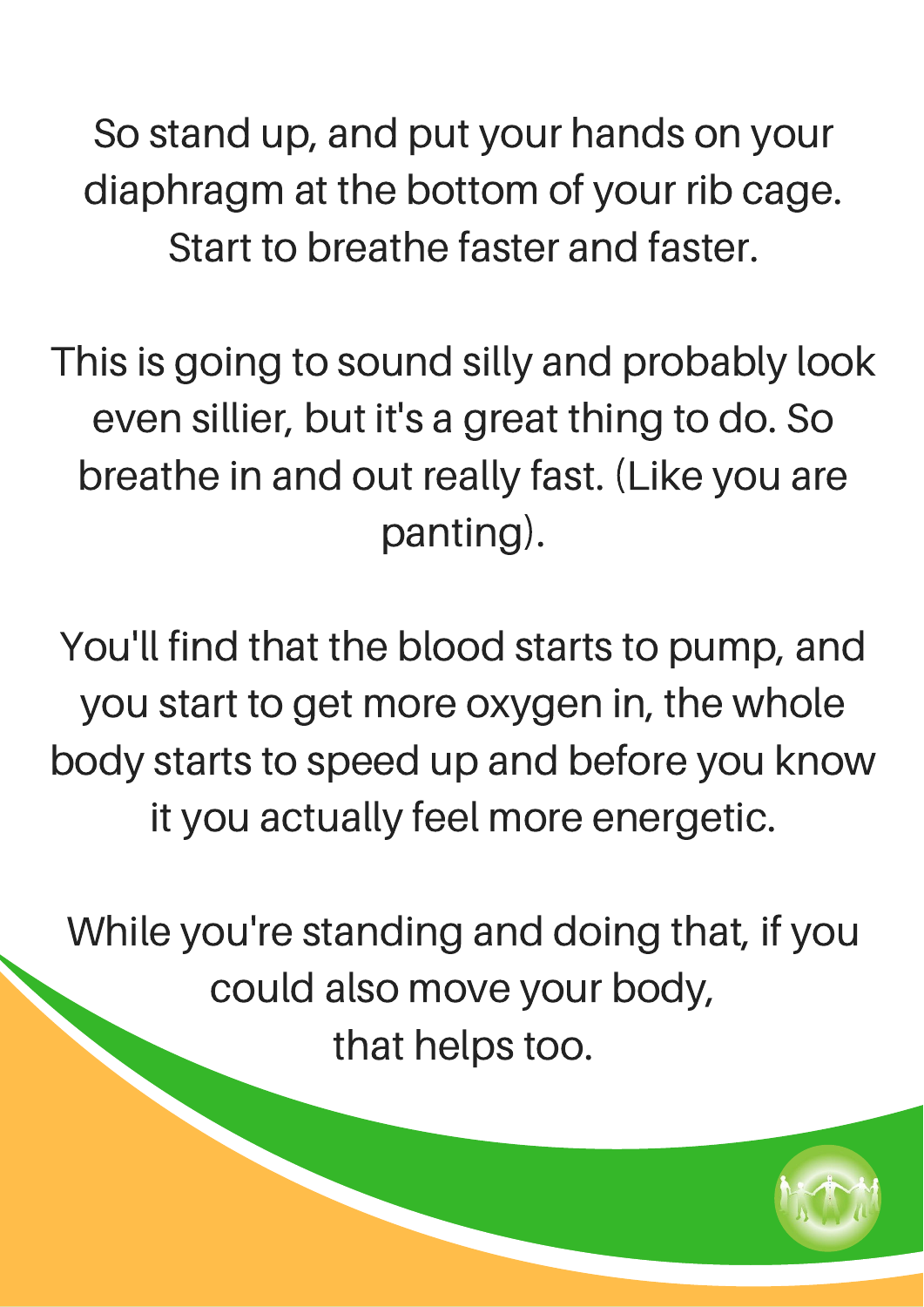So stand up, and put your hands on your diaphragm at the bottom of your rib cage. Start to breathe faster and faster.

This is going to sound silly and probably look even sillier, but it's a great thing to do. So breathe in and out really fast. (Like you are panting).

You'll find that the blood starts to pump, and you start to get more oxygen in, the whole body starts to speed up and before you know it you actually feel more energetic.

While you're standing and doing that, if you could also move your body, that helps too.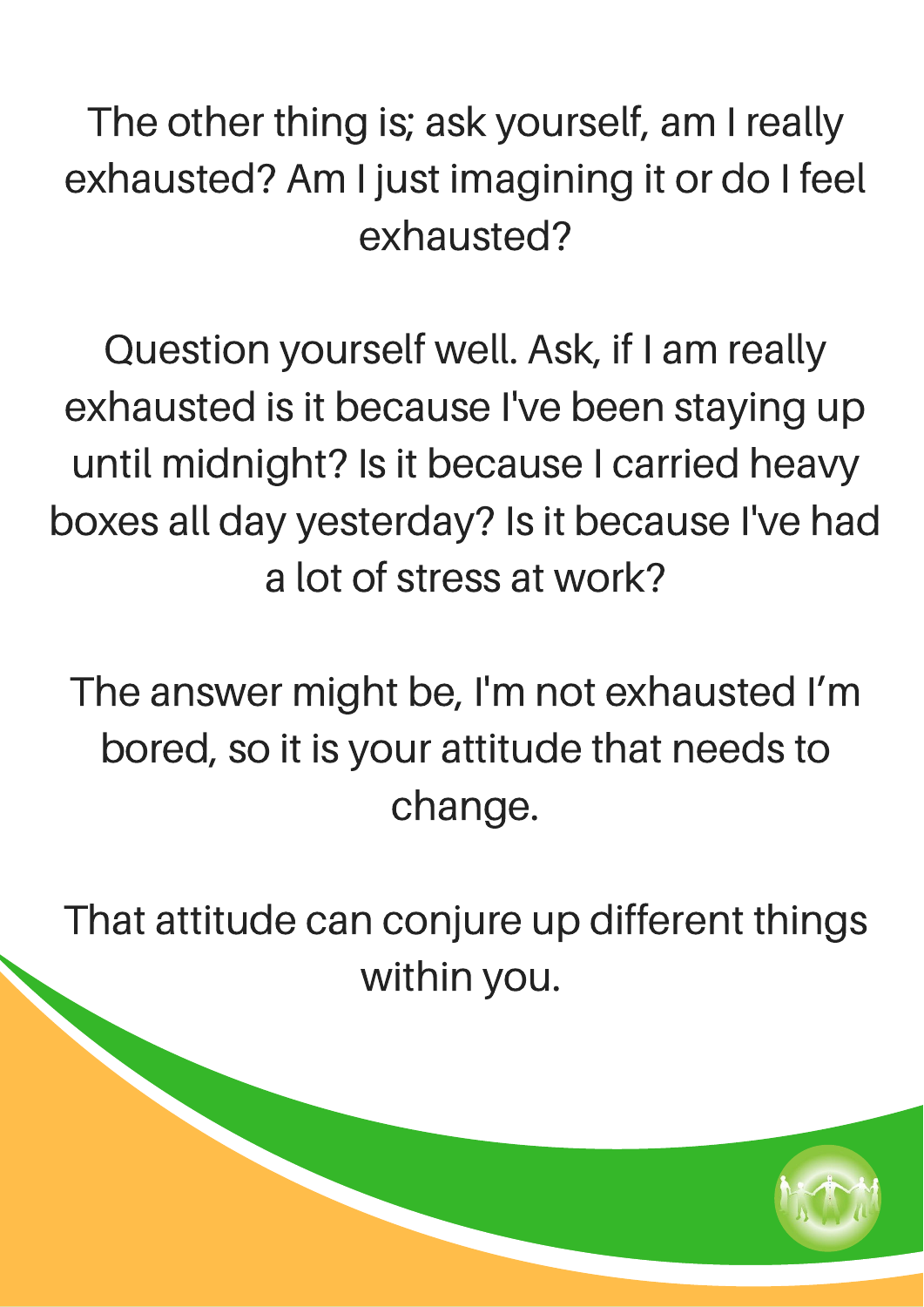The other thing is; ask yourself, am I really exhausted? Am I just imagining it or do I feel exhausted?

Question yourself well. Ask, if I am really exhausted is it because I've been staying up until midnight? Is it because I carried heavy boxes all day yesterday? Is it because I've had a lot of stress at work?

The answer might be, I'm not exhausted I'm bored, so it is your attitude that needs to change.

That attitude can conjure up different things within you.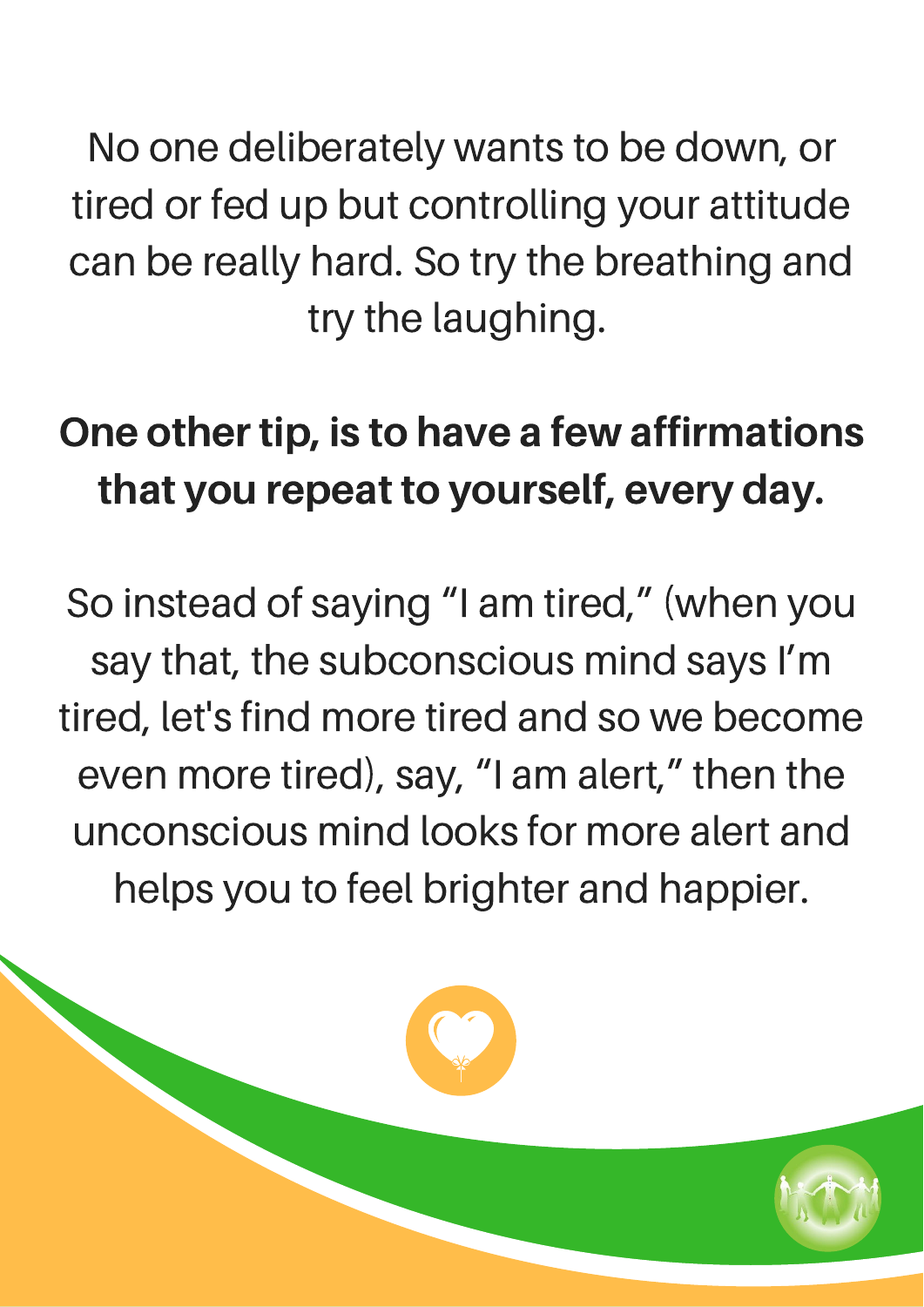No one deliberately wants to be down, or tired or fed up but controlling your attitude can be really hard. So try the breathing and try the laughing.

### One other tip, is to have a few affirmations that you repeat to yourself, every day.

So instead of saying "I am tired, " (when you say that, the subconscious mind says I'm tired, let's find more tired and so we become even more tired), say, "I am alert, " then the unconscious mind looks for more alert and helps you to feel brighter and happier.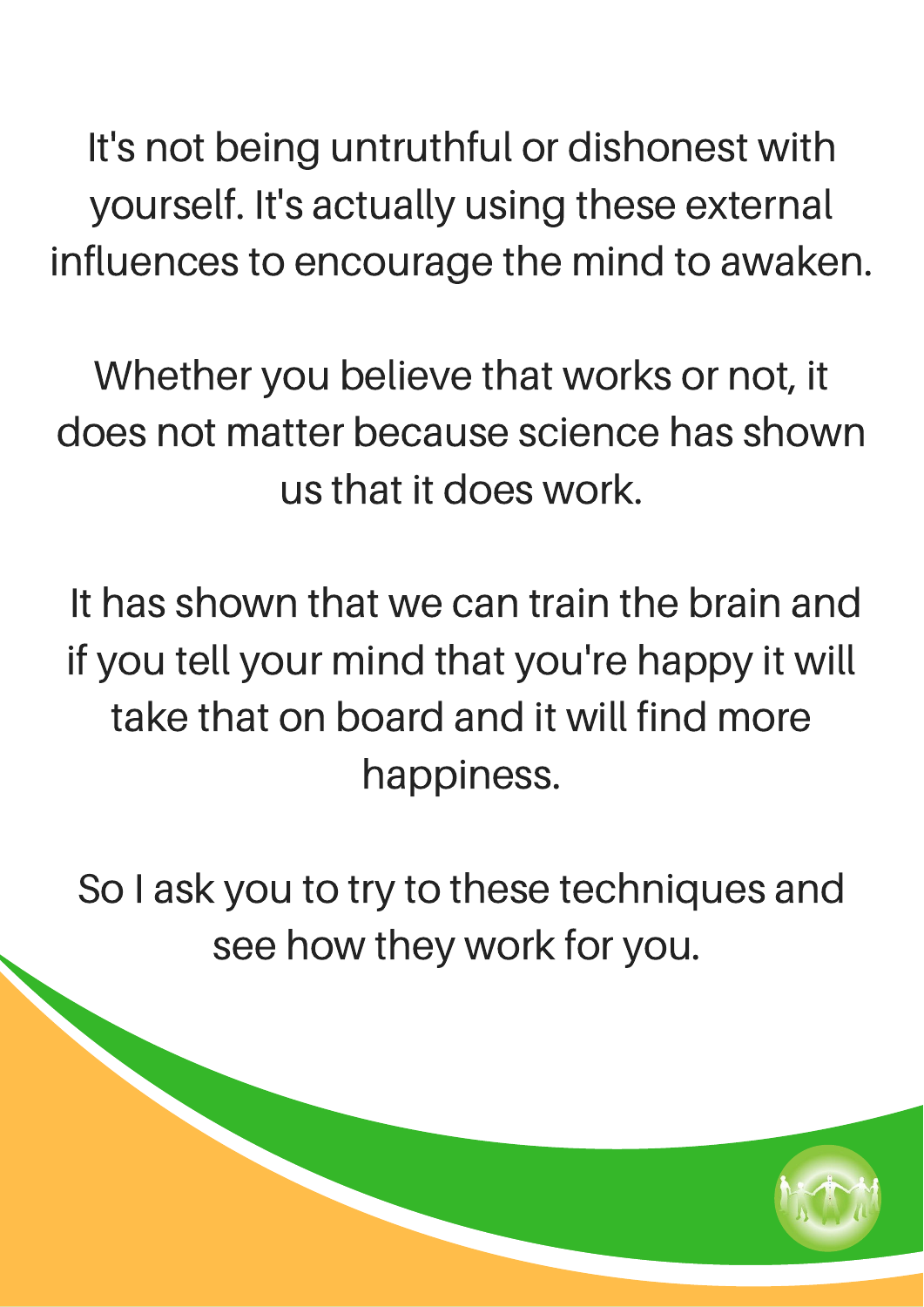It's not being untruthful or dishonest with yourself. It's actually using these external influences to encourage the mind to awaken.

Whether you believe that works or not, it does not matter because science has shown us that it does work.

It has shown that we can train the brain and if you tell your mind that you're happy it will take that on board and it will find more happiness.

So I ask you to try to these techniques and see how they work for you.